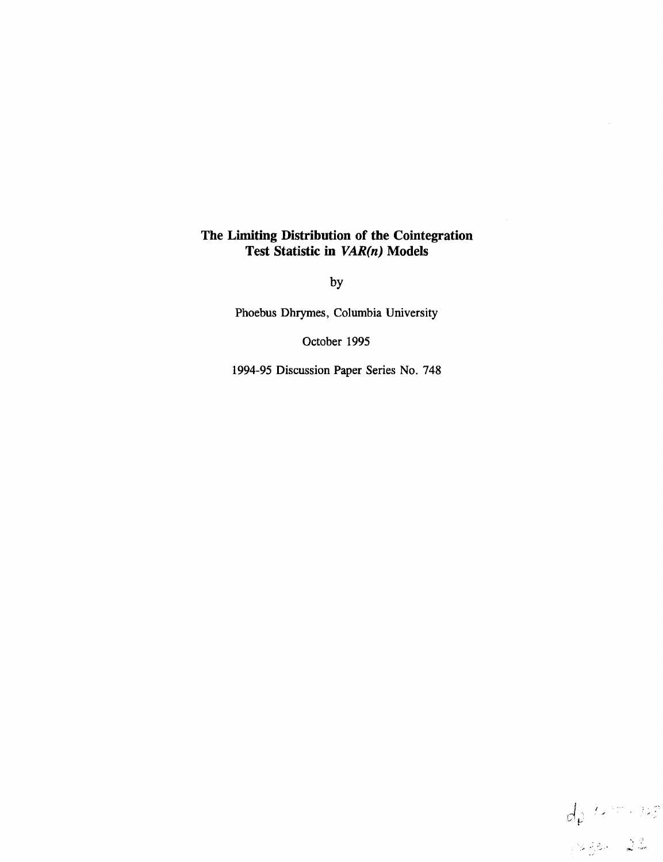### **The Limiting Distribution of the Cointegration Test Statistic in** *VAR(n)* **Models**

by

Phoebus Dhrymes, Columbia University

October 1995

1994-95 Discussion Paper Series No. 748

 $d\rho$  /2 = - 725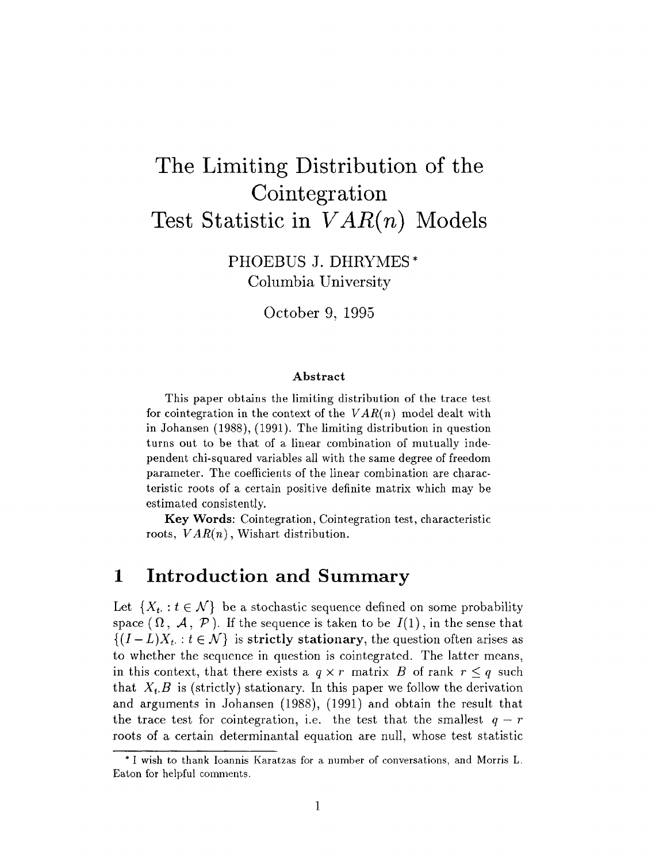# The Limiting Distribution of the Cointegration Test Statistic in *VAR{n)* Models

PHOEBUS J. DHRYMES\* Columbia University

October 9, 1995

#### **Abstract**

This paper obtains the limiting distribution of the trace test for cointegration in the context of the *VAR{n)* model dealt with in Johansen (1988), (1991). The limiting distribution in question turns out to be that of a linear combination of mutually independent chi-squared variables all with the same degree of freedom parameter. The coefficients of the linear combination are characteristic roots of a certain positive definite matrix which may be estimated consistently.

**Key Words:** Cointegration, Cointegration test, characteristic roots, *VAR(n)*, Wishart distribution.

### 1 Introduction and Summary

Let  $\{X_t : t \in \mathcal{N}\}\)$  be a stochastic sequence defined on some probability space  $(\Omega, \mathcal{A}, \mathcal{P})$ . If the sequence is taken to be  $I(1)$ , in the sense that  $\{(I - L)X_t : t \in \mathcal{N}\}\)$  is strictly stationary, the question often arises as to whether the sequence in question is cointegrated. The latter means, in this context, that there exists a  $q \times r$  matrix B of rank  $r \leq q$  such that  $X_t$ ,  $B$  is (strictly) stationary. In this paper we follow the derivation and arguments in Johansen (1988), (1991) and obtain the result that the trace test for cointegration, i.e. the test that the smallest  $q - r$ roots of a certain determinantal equation are null, whose test statistic

<sup>\*</sup> I wish to thank Ioannis Karatzas for a number of conversations, and Morris L. Eaton for helpful comments.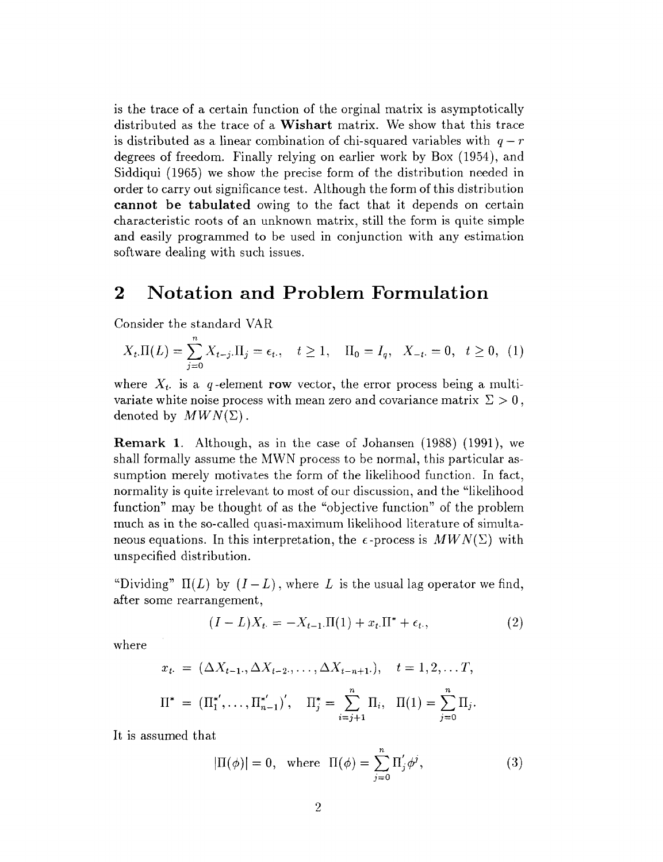is the trace of a certain function of the orginal matrix is asymptotically distributed as the trace of a Wishart matrix. We show that this trace is distributed as a linear combination of chi-squared variables with  $q-r$ degrees of freedom. Finally relying on earlier work by Box (1954), and Siddiqui (1965) we show the precise form of the distribution needed in order to carry out significance test. Although the form of this distribution **cannot be tabulated** owing to the fact that it depends on certain characteristic roots of an unknown matrix, still the form is quite simple and easily programmed to be used in conjunction with any estimation software dealing with such issues.

## 2 Notation and Problem Formulation

Consider the standard VAR

$$
X_t \Pi(L) = \sum_{j=0}^{N} X_{t-j} \Pi_j = \epsilon_t, \quad t \ge 1, \quad \Pi_0 = I_q, \quad X_{-t} = 0, \quad t \ge 0, \tag{1}
$$

where  $X_t$  is a q-element row vector, the error process being a multivariate white noise process with mean zero and covariance matrix  $\Sigma > 0$ , denoted by  $MWN(\Sigma)$ .

**Remark 1.** Although, as in the case of Johansen (1988) (1991), we shall formally assume the MWN process to be normal, this particular assumption merely motivates the form of the likelihood function. In fact, normality is quite irrelevant to most of our discussion, and the "likelihood function" may be thought of as the "objective function" of the problem much as in the so-called quasi-maximum likelihood literature of simultaneous equations. In this interpretation, the  $\epsilon$ -process is  $MWN(\Sigma)$  with unspecified distribution.

"Dividing"  $\Pi(L)$  by  $(I - L)$ , where L is the usual lag operator we find, after some rearrangement,

$$
(I - L)X_{t} = -X_{t-1}.\Pi(1) + x_{t}.\Pi^* + \epsilon_t,
$$
\n(2)

where

$$
x_{t} = (\Delta X_{t-1}, \Delta X_{t-2}, \dots, \Delta X_{t-n+1}), \quad t = 1, 2, \dots T,
$$
  

$$
\Pi^* = (\Pi_1^{*'}, \dots, \Pi_{n-1}^{*'})', \quad \Pi_j^* = \sum_{i=j+1}^n \Pi_i, \quad \Pi(1) = \sum_{j=0}^n \Pi_j.
$$

It is assumed that

$$
|\Pi(\phi)| = 0, \text{ where } \Pi(\phi) = \sum_{j=0}^{n} \Pi'_{j} \phi^{j}, \qquad (3)
$$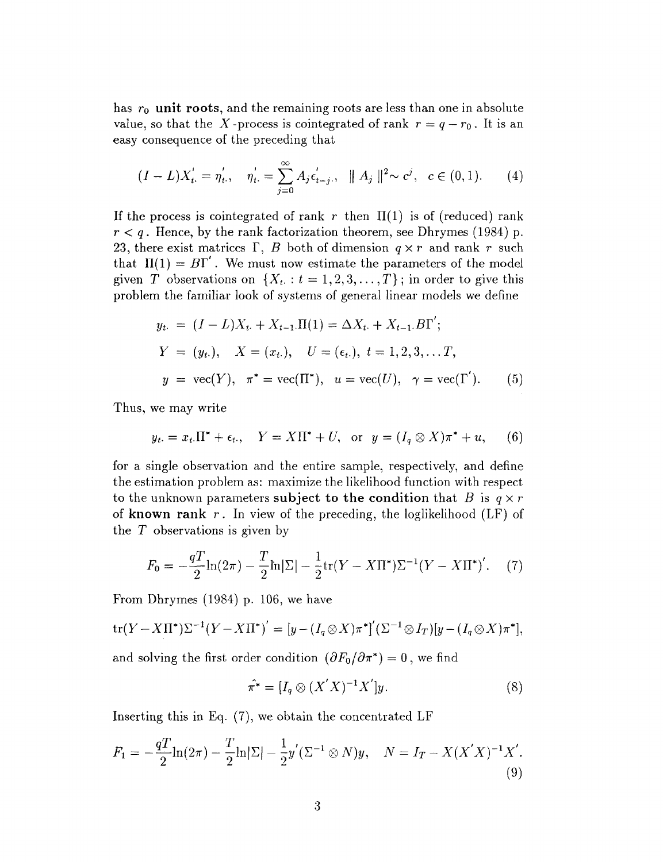has  $r_0$  unit roots, and the remaining roots are less than one in absolute value, so that the X-process is cointegrated of rank  $r = q - r_0$ . It is an easy consequence of the preceding that

$$
(I - L)X'_{t} = \eta'_{t}, \quad \eta'_{t} = \sum_{j=0}^{\infty} A_{j} \epsilon'_{t-j}, \quad \| A_{j} \|^{2} \sim c^{j}, \quad c \in (0, 1).
$$
 (4)

If the process is cointegrated of rank r then  $\Pi(1)$  is of (reduced) rank  $r < q$ . Hence, by the rank factorization theorem, see Dhrymes (1984) p. 23, there exist matrices  $\Gamma$ , *B* both of dimension  $q \times r$  and rank r such that  $\Pi(1) = B\Gamma'$ . We must now estimate the parameters of the model given T observations on  $\{X_t : t = 1, 2, 3, ..., T\}$ ; in order to give this problem the familiar look of systems of general linear models we define

$$
y_{t} = (I - L)X_{t} + X_{t-1}.\Pi(1) = \Delta X_{t} + X_{t-1}.\overline{B\Gamma}';
$$
  
\n
$$
Y = (y_{t}), \quad X = (x_{t}), \quad U = (\epsilon_{t}), \quad t = 1, 2, 3, \dots T,
$$
  
\n
$$
y = \text{vec}(Y), \quad \pi^* = \text{vec}(\Pi^*), \quad u = \text{vec}(U), \quad \gamma = \text{vec}(\Gamma').
$$
 (5)

Thus, we may write

$$
y_t = x_t \cdot \Pi^* + \epsilon_t, \quad Y = X \Pi^* + U, \text{ or } y = (I_q \otimes X)\pi^* + u,
$$
 (6)

for a single observation and the entire sample, respectively, and define the estimation problem as: maximize the likelihood function with respect to the unknown parameters subject to the condition that  $B$  is  $q \times r$ of **known rank** r. In view of the preceding, the loglikelihood (LF) of the *T* observations is given by

$$
F_0 = -\frac{qT}{2}\ln(2\pi) - \frac{T}{2}\ln|\Sigma| - \frac{1}{2}\text{tr}(Y - X\Pi^*)\Sigma^{-1}(Y - X\Pi^*)'.\tag{7}
$$

From Dhrymes (1984) p. 106, we have

$$
\operatorname{tr}(Y - X\Pi^*)\Sigma^{-1}(Y - X\Pi^*)' = [y - (I_q \otimes X)\pi^*]'(\Sigma^{-1} \otimes I_T)[y - (I_q \otimes X)\pi^*],
$$

and solving the first order condition  $(\partial F_0/\partial \pi^*) = 0$ , we find

$$
\hat{\pi^*} = [I_q \otimes (X'X)^{-1}X']y. \tag{8}
$$

Inserting this in Eq. (7), we obtain the concentrated LF

$$
F_1 = -\frac{q}{2} \ln(2\pi) - \frac{T}{2} \ln|\Sigma| - \frac{1}{2} y' (\Sigma^{-1} \otimes N) y, \quad N = I_T - X(X'X)^{-1} X'.
$$
\n(9)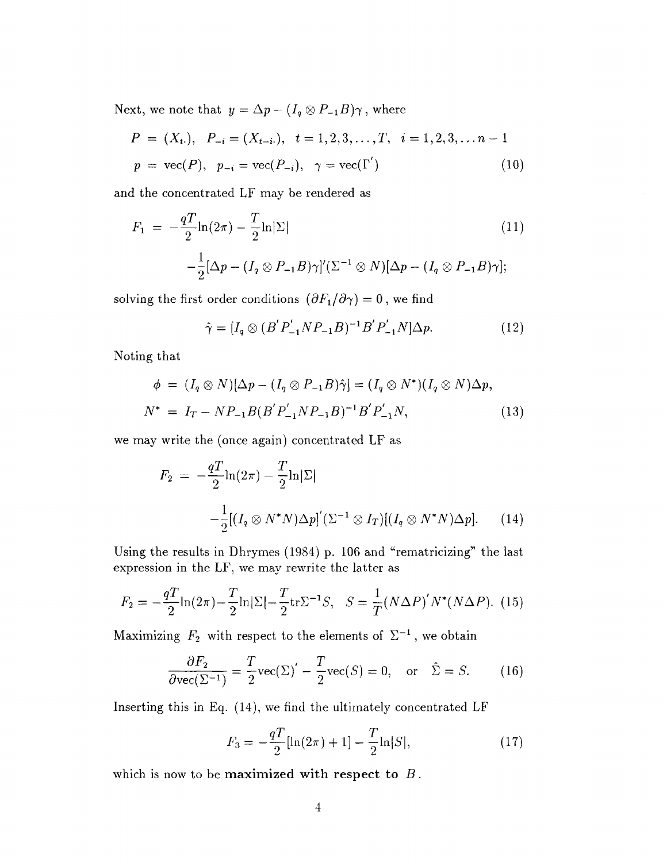Next, we note that  $y = \Delta p - (I_q \otimes P_{-1}B)\gamma$ , where

$$
P = (X_{t.}), \quad P_{-i} = (X_{t-i.}), \quad t = 1, 2, 3, ..., T, \quad i = 1, 2, 3, ..., n-1
$$
\n
$$
p = \text{vec}(P), \quad p_{-i} = \text{vec}(P_{-i}), \quad \gamma = \text{vec}(\Gamma') \tag{10}
$$

and the concentrated LF may be rendered as

$$
F_1 = -\frac{qT}{2}\ln(2\pi) - \frac{T}{2}\ln|\Sigma|
$$
\n
$$
-\frac{1}{2}[\Delta p - (I_q \otimes P_{-1}B)\gamma]'(\Sigma^{-1} \otimes N)[\Delta p - (I_q \otimes P_{-1}B)\gamma];
$$
\n(11)

solving the first order conditions  $(\partial F_1/\partial \gamma) = 0$ , we find

$$
\hat{\gamma} = [I_q \otimes (B'P'_{-1}NP_{-1}B)^{-1}B'P'_{-1}N]\Delta p. \tag{12}
$$

Noting that

$$
\phi = (I_q \otimes N)[\Delta p - (I_q \otimes P_{-1}B)\hat{\gamma}] = (I_q \otimes N^*)(I_q \otimes N)\Delta p,
$$
  

$$
N^* = I_T - NP_{-1}B(B'P'_{-1}NP_{-1}B)^{-1}B'P'_{-1}N,
$$
 (13)

we may write the (once again) concentrated LF as

$$
F_2 = -\frac{qT}{2}\ln(2\pi) - \frac{T}{2}\ln|\Sigma|
$$
  
 
$$
-\frac{1}{2}[(I_q \otimes N^*N)\Delta p]'(\Sigma^{-1} \otimes I_T)[(I_q \otimes N^*N)\Delta p]. \qquad (14)
$$

Using the results in Dhrymes (1984) p. 106 and "rematricizing" the last expression in the LF, we may rewrite the latter as

$$
F_2 = -\frac{qT}{2}\ln(2\pi) - \frac{T}{2}\ln|\Sigma| - \frac{T}{2}\text{tr}\Sigma^{-1}S, \quad S = \frac{1}{T}(N\Delta P)'N^*(N\Delta P). \tag{15}
$$

Maximizing  $F_2$  with respect to the elements of  $\Sigma^{-1}$ , we obtain

$$
\frac{\partial F_2}{\partial \text{vec}(\Sigma^{-1})} = \frac{T}{2} \text{vec}(\Sigma)' - \frac{T}{2} \text{vec}(S) = 0, \text{ or } \hat{\Sigma} = S. \quad (16)
$$

Inserting this in Eq. (14), we find the ultimately concentrated LF

$$
F_3 = -\frac{qT}{2}[\ln(2\pi) + 1] - \frac{T}{2}\ln|S|,
$$
\n(17)

which is now to be **maximized with respect to** *B*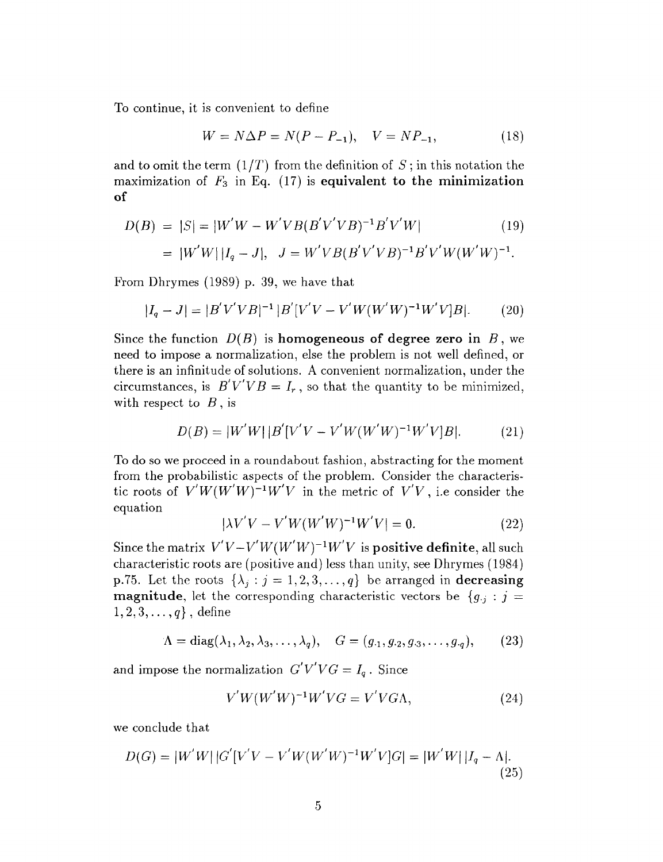To continue, it is convenient to define

$$
W = N\Delta P = N(P - P_{-1}), \quad V = NP_{-1}, \tag{18}
$$

and to omit the term.  $(1/T)$  from the definition of *S*; in this notation the maximization of *F3* in Eq. (17) is **equivalent to the minimization of**

$$
D(B) = |S| = |W'W - W'VB(B'V'VB)^{-1}B'V'W|
$$
\n
$$
= |W'W||I_q - J|, \quad J = W'VB(B'V'VB)^{-1}B'V'W(W'W)^{-1}.
$$
\n(19)

From Dhrymes (1989) p. 39, we have that

$$
|I_q - J| = |B'V'VB|^{-1} |B'[V'V - V'W(W'W)^{-1}W'V]B|.
$$
 (20)

Since the function  $D(B)$  is homogeneous of degree zero in  $B$ , we need to impose a normalization, else the problem is not well defined, or there is an infinitude of solutions. A convenient normalization, under the circumstances, is  $B'V'VB = I_r$ , so that the quantity to be minimized, with respect to *B* , is

$$
D(B) = |W'W| |B'[V'V - V'W(W'W)^{-1}W'V]B|.
$$
 (21)

To do so we proceed in a roundabout fashion, abstracting for the moment from the probabilistic aspects of the problem. Consider the characteristic roots of  $V'W(W'W)^{-1}W'V$  in the metric of  $V'V$ , i.e consider the equation

$$
|\lambda V'V - V'W(W'W)^{-1}W'V| = 0.
$$
 (22)

Since the matrix  $V'V - V'W(W'W)^{-1}W'V$  is positive definite, all such characteristic roots are (positive and) less than unity, see Dhrymes (1984) p.75. Let the roots  $\{\lambda_j : j = 1, 2, 3, \ldots, q\}$  be arranged in **decreasing magnitude**, let the corresponding characteristic vectors be  ${g_{ij}: j =}$  $1,2,3,\ldots,q\}$ , define

$$
\Lambda = \text{diag}(\lambda_1, \lambda_2, \lambda_3, \dots, \lambda_q), \quad G = (g_{.1}, g_{.2}, g_{.3}, \dots, g_{.q}), \tag{23}
$$

and impose the normalization  $G'V'VG = I_q$ . Since

$$
V'W(W'W)^{-1}W'VG = V'VG\Lambda, \qquad (24)
$$

we conclude that

$$
D(G) = |W'W||G'[V'V - V'W(W'W)^{-1}W'V]G| = |W'W||I_q - \Lambda|.
$$
\n(25)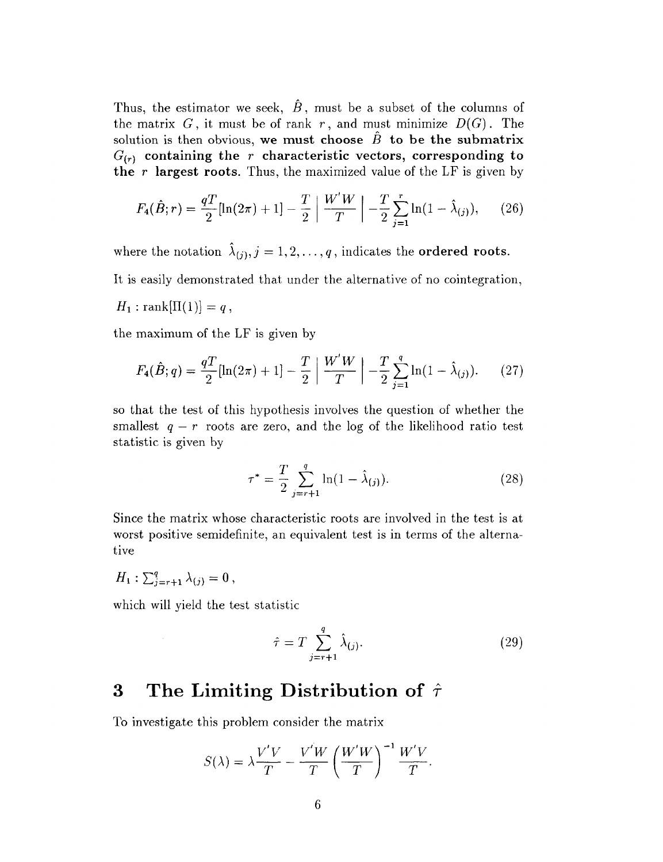Thus, the estimator we seek,  $\hat{B}$ , must be a subset of the columns of the matrix  $G$ , it must be of rank  $r$ , and must minimize  $D(G)$ . The solution is then obvious, we must choose  $\hat{B}$  to be the submatrix *G(r)* **containing the** r **characteristic vectors, corresponding to the** r **largest roots.** Thus, the maximized value of the LF is given by

$$
F_4(\hat{B};r) = \frac{qT}{2}[\ln(2\pi) + 1] - \frac{T}{2} \left| \frac{W'W}{T} \right| - \frac{T}{2} \sum_{j=1}^r \ln(1 - \hat{\lambda}_{(j)}), \quad (26)
$$

where the notation  $\hat{\lambda}_{(j)}, j = 1,2,\ldots, q$ , indicates the **ordered roots**.

It is easily demonstrated that under the alternative of no cointegration,

$$
H_1: \operatorname{rank}[\Pi(1)] = q,
$$

the maximum of the LF is given by

$$
F_4(\hat{B}; q) = \frac{qT}{2}[\ln(2\pi) + 1] - \frac{T}{2} \left| \frac{W'W}{T} \right| - \frac{T}{2} \sum_{j=1}^{q} \ln(1 - \hat{\lambda}_{(j)}).
$$
 (27)

so that the test of this hypothesis involves the question of whether the smallest  $q - r$  roots are zero, and the log of the likelihood ratio test statistic is given by

$$
\tau^* = \frac{T}{2} \sum_{j=r+1}^{q} \ln(1 - \hat{\lambda}_{(j)}).
$$
 (28)

Since the matrix whose characteristic roots are involved in the test is at worst positive semidefinite, an equivalent test is in terms of the alternative

$$
H_1: \sum_{j=r+1}^q \lambda_{(j)}=0\,,
$$

which will yield the test statistic

$$
\hat{\tau} = T \sum_{j=r+1}^{q} \hat{\lambda}_{(j)}.
$$
\n(29)

## 3 The Limiting Distribution of  $\hat{\tau}$

To investigate this problem consider the matrix

$$
S(\lambda) = \lambda \frac{V'V}{T} - \frac{V'W}{T} \left(\frac{W'W}{T}\right)^{-1} \frac{W'V}{T}.
$$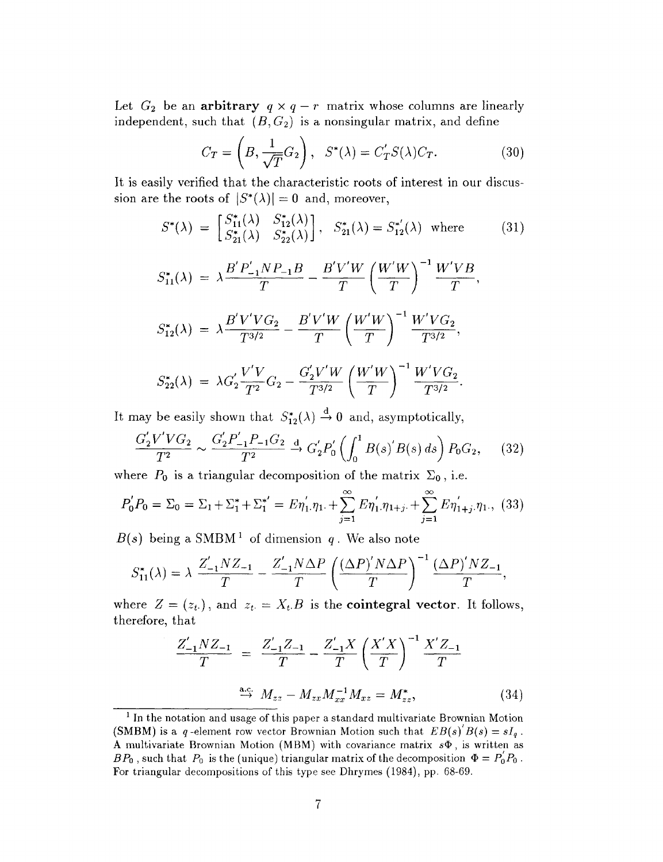Let  $G_2$  be an arbitrary  $q \times q - r$  matrix whose columns are linearly independent, such that  $(B, G_2)$  is a nonsingular matrix, and define

$$
C_T = \left(B, \frac{1}{\sqrt{T}} G_2\right), \quad S^*(\lambda) = C'_T S(\lambda) C_T. \tag{30}
$$

It is easily verified that the characteristic roots of interest in our discussion are the roots of  $|S^*(\lambda)| = 0$  and, moreover,

$$
S^*(\lambda) = \begin{bmatrix} S_{11}^*(\lambda) & S_{12}^*(\lambda) \\ S_{21}^*(\lambda) & S_{22}^*(\lambda) \end{bmatrix}, \quad S_{21}^*(\lambda) = S_{12}^{*'}(\lambda) \quad \text{where} \tag{31}
$$
\n
$$
S_{11}^*(\lambda) = \lambda \frac{B'P'_{-1}NP_{-1}B}{T} - \frac{B'V'W}{T} \left(\frac{W'W}{T}\right)^{-1} \frac{W'VB}{T},
$$
\n
$$
S_{12}^*(\lambda) = \lambda \frac{B'V'VG_2}{T^{3/2}} - \frac{B'V'W}{T} \left(\frac{W'W}{T}\right)^{-1} \frac{W'VG_2}{T^{3/2}},
$$
\n
$$
S_{22}^*(\lambda) = \lambda G_2' \frac{V'V}{T^2} G_2 - \frac{G_2'V'W}{T^{3/2}} \left(\frac{W'W}{T}\right)^{-1} \frac{W'VG_2}{T^{3/2}}.
$$

It may be easily shown that  $S_{12}^*(\lambda) \stackrel{d}{\rightarrow} 0$  and, asymptotically,

$$
\frac{G_2'V'VG_2}{T^2} \sim \frac{G_2'P_{-1}'P_{-1}G_2}{T^2} \stackrel{d}{\to} G_2'P_0'\left(\int_0^1 B(s)'B(s)\,ds\right)P_0G_2,\tag{32}
$$

where  $P_0$  is a triangular decomposition of the matrix  $\Sigma_0$ , i.e.

$$
P'_0 P_0 = \Sigma_0 = \Sigma_1 + \Sigma_1^* + \Sigma_1^{*'} = E\eta'_1 \eta_1 + \sum_{j=1}^{\infty} E\eta'_1 \eta_{1+j} + \sum_{j=1}^{\infty} E\eta'_{1+j} \eta_1, (33)
$$

*B(s)* being a SMBM*<sup>1</sup>* of dimension *q* . We also note

$$
S_{11}^{*}(\lambda) = \lambda \frac{Z'_{-1}NZ_{-1}}{T} - \frac{Z'_{-1}N\Delta P}{T} \left(\frac{(\Delta P)'N\Delta P}{T}\right)^{-1} \frac{(\Delta P)'NZ_{-1}}{T},
$$

where  $Z = (z_t)$ , and  $z_t = X_t$ . B is the **cointegral vector**. It follows, therefore, that

$$
\frac{Z'_{-1}NZ_{-1}}{T} = \frac{Z'_{-1}Z_{-1}}{T} - \frac{Z'_{-1}X}{T} \left(\frac{X'X}{T}\right)^{-1} \frac{X'Z_{-1}}{T}
$$
\n
$$
\xrightarrow{\text{a.c.}} M_{zz} - M_{zx}M_{xx}^{-1}M_{xz} = M_{zz}^*,
$$
\n(34)

<sup>&</sup>lt;sup>1</sup> In the notation and usage of this paper a standard multivariate Brownian Motion (SMBM) is a q-element row vector Brownian Motion such that  $EB(s)'B(s) = sI_q$ . A multivariate Brownian Motion (MBM) with covariance matrix  $s\Phi$ , is written as  $BP_0$ , such that  $P_0$  is the (unique) triangular matrix of the decomposition  $\Phi = P_0'P_0$ . For triangular decompositions of this type see Dhrymes (1984), pp. 68-69.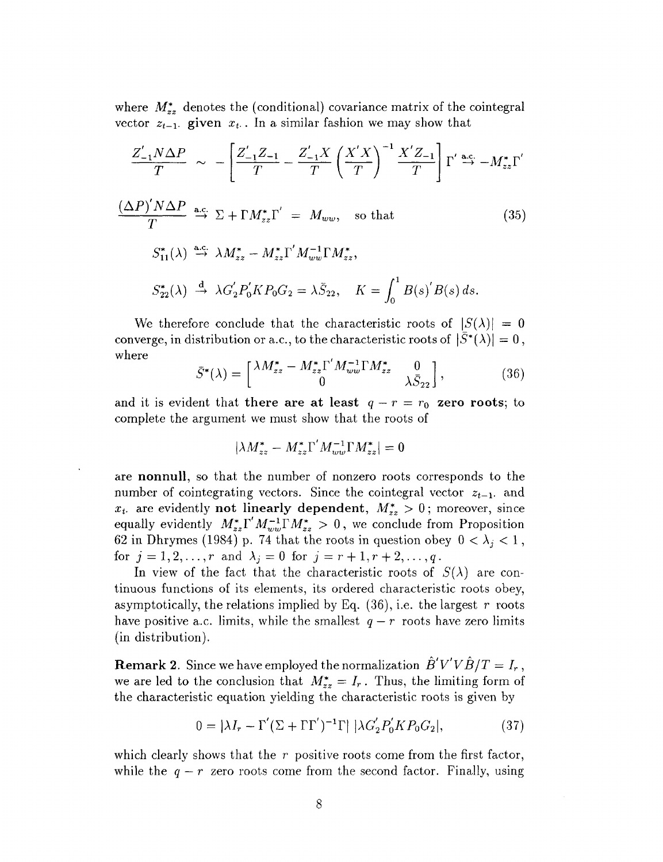where  $M_{zz}^*$  denotes the (conditional) covariance matrix of the cointegral vector  $z_{t-1}$ , given  $x_t$ . In a similar fashion we may show that

$$
\frac{Z'_{-1}N\Delta P}{T} \sim -\left[\frac{Z'_{-1}Z_{-1}}{T} - \frac{Z'_{-1}X}{T}\left(\frac{X'X}{T}\right)^{-1}\frac{X'Z_{-1}}{T}\right]\Gamma'\stackrel{\text{a.c.}}{\to} -M_{zz}^*\Gamma'
$$
\n
$$
\frac{(\Delta P)'N\Delta P}{T} \stackrel{\text{a.c.}}{\to} \Sigma + \Gamma M_{zz}^*\Gamma' = M_{ww}, \text{ so that}
$$
\n
$$
S_{11}^*(\lambda) \stackrel{\text{a.c.}}{\to} \lambda M_{zz}^* - M_{zz}^*\Gamma'M_{ww}^{-1}\Gamma M_{zz}^*,
$$
\n
$$
S_{22}^*(\lambda) \stackrel{\text{d}}{\to} \lambda G_2'P_0'KP_0G_2 = \lambda \bar{S}_{22}, \quad K = \int_0^1 B(s)'B(s) \, ds.
$$
\n
$$
(35)
$$

We therefore conclude that the characteristic roots of  $|S(\lambda)| = 0$ converge, in distribution or a.c., to the characteristic roots of  $|\bar{S}^*(\lambda)| = 0$ , where

$$
\bar{S}^*(\lambda) = \begin{bmatrix} \lambda M_{zz}^* - M_{zz}^* \Gamma' M_{ww}^{-1} \Gamma M_{zz}^* & 0 \\ 0 & \lambda \bar{S}_{22} \end{bmatrix},
$$
(36)

and it is evident that there are at least  $q - r = r_0$  zero roots; to complete the argument we must show that the roots of

$$
|\lambda M^*_{zz} - M^*_{zz} \Gamma' M^{-1}_{ww} \Gamma M^*_{zz}| = 0
$$

are **nonnull,** so that the number of nonzero roots corresponds to the number of cointegrating vectors. Since the cointegral vector  $z_{t-1}$  and  $x_t$  are evidently **not linearly dependent**,  $M_{zz}^* > 0$ ; moreover, since equally evidently  $M_{zz}^*\Gamma' M_{ww}^{-1} \Gamma M_{zz}^* > 0$ , we conclude from Proposition 62 in Dhrymes (1984) p. 74 that the roots in question obey  $0 < \lambda_j < 1$ , for  $j = 1, 2, ..., r$  and  $\lambda_j = 0$  for  $j = r + 1, r + 2, ..., q$ .

In view of the fact that the characteristic roots of  $S(\lambda)$  are continuous functions of its elements, its ordered characteristic roots obey, asymptotically, the relations implied by Eq. (36), i.e. the largest *r* roots have positive a.c. limits, while the smallest  $q - r$  roots have zero limits (in distribution).

**Remark 2.** Since we have employed the normalization  $B'V'VB/T = I_r$ , we are led to the conclusion that  $M^*_{zz} = I_r$ . Thus, the limiting form of the characteristic equation yielding the characteristic roots is given by

$$
0 = |\lambda I_r - \Gamma'(\Sigma + \Gamma \Gamma')^{-1} \Gamma| |\lambda G_2' P_0' K P_0 G_2|,
$$
 (37)

which clearly shows that the r positive roots come from the first factor, while the  $q - r$  zero roots come from the second factor. Finally, using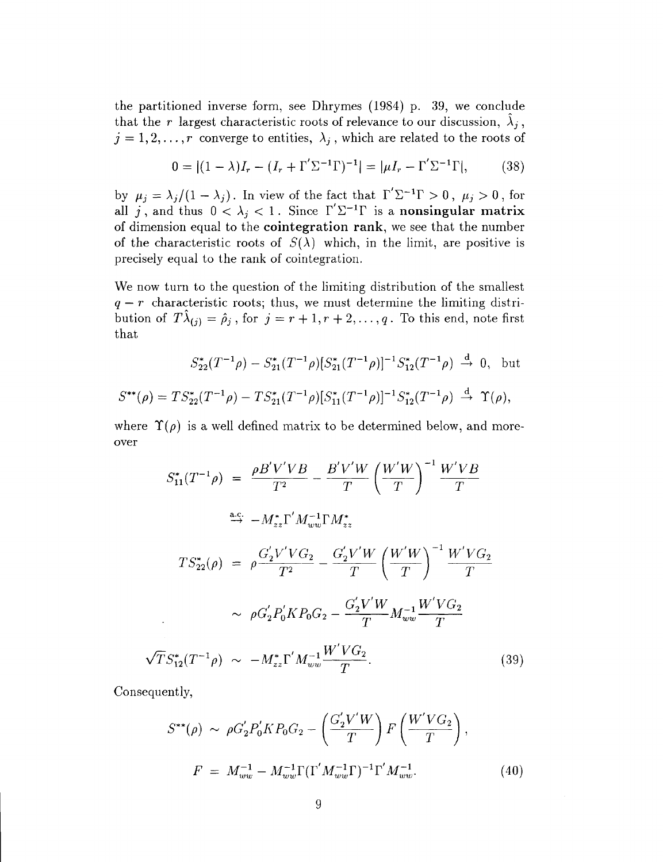the partitioned inverse form, see Dhrymes (1984) p. 39, we conclude that the r largest characteristic roots of relevance to our discussion,  $\lambda_j$ ,  $j = 1, 2, \ldots, r$  converge to entities,  $\lambda_j$ , which are related to the roots of

$$
0 = |(1 - \lambda)I_r - (I_r + \Gamma' \Sigma^{-1} \Gamma)^{-1}| = |\mu I_r - \Gamma' \Sigma^{-1} \Gamma|,
$$
 (38)

by  $\mu_j = \lambda_j/(1 - \lambda_j)$ . In view of the fact that  $\Gamma' \Sigma^{-1} \Gamma > 0$ ,  $\mu_j > 0$ , for all j, and thus  $0 < \lambda_j < 1$ . Since  $\Gamma' \Sigma^{-1} \Gamma$  is a nonsingular matrix of dimension equal to the **cointegration rank,** we see that the number of the characteristic roots of  $S(\lambda)$  which, in the limit, are positive is precisely equal to the rank of cointegration.

We now turn to the question of the limiting distribution of the smallest  $q - r$  characteristic roots; thus, we must determine the limiting distribution of  $T\lambda_{(j)} = \hat{\rho}_j$ , for  $j = r + 1, r + 2, \ldots, q$ . To this end, note first that

$$
S_{22}^*(T^{-1}\rho) - S_{21}^*(T^{-1}\rho)[S_{21}^*(T^{-1}\rho)]^{-1}S_{12}^*(T^{-1}\rho) \stackrel{d}{\to} 0, \text{ but}
$$
  

$$
S^{**}(\rho) = TS_{22}^*(T^{-1}\rho) - TS_{21}^*(T^{-1}\rho)[S_{11}^*(T^{-1}\rho)]^{-1}S_{12}^*(T^{-1}\rho) \stackrel{d}{\to} \Upsilon(\rho),
$$

where  $\Upsilon(\rho)$  is a well defined matrix to be determined below, and moreover

$$
S_{11}^{*}(T^{-1}\rho) = \frac{\rho B'V'VB}{T^2} - \frac{B'V'W}{T} \left(\frac{W'W}{T}\right)^{-1} \frac{W'VB}{T}
$$
  
\n
$$
\xrightarrow{\text{a.c.}} -M_{zz}^{*}\Gamma'M_{ww}^{-1}\Gamma M_{zz}^{*}
$$
  
\n
$$
TS_{22}^{*}(\rho) = \rho \frac{G_{2}'V'VG_{2}}{T^2} - \frac{G_{2}'V'W}{T} \left(\frac{W'W}{T}\right)^{-1} \frac{W'VG_{2}}{T}
$$
  
\n
$$
\sim \rho G_{2}'P_{0}'KP_{0}G_{2} - \frac{G_{2}'V'W}{T}M_{ww}^{-1}\frac{W'VG_{2}}{T}
$$
  
\n
$$
\sqrt{T}S_{12}^{*}(T^{-1}\rho) \sim -M_{zz}^{*}\Gamma'M_{ww}^{-1}\frac{W'VG_{2}}{T}.
$$
 (39)

Consequently,

$$
S^{**}(\rho) \sim \rho G_2' P_0' K P_0 G_2 - \left(\frac{G_2' V' W}{T}\right) F \left(\frac{W' V G_2}{T}\right),
$$
  
\n
$$
F = M_{ww}^{-1} - M_{ww}^{-1} \Gamma(\Gamma' M_{ww}^{-1} \Gamma)^{-1} \Gamma' M_{ww}^{-1}.
$$
 (40)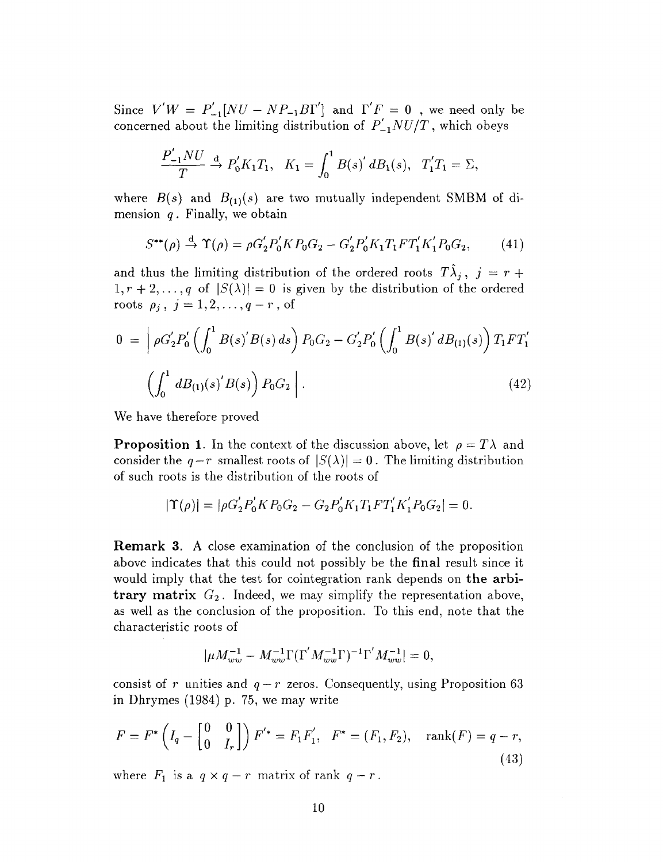Since  $V'W = P'_{-1}[NU - NP_{-1}BT']$  and  $\Gamma'F = 0$ , we need only be concerned about the limiting distribution of  $P'_{-1}NU/T$ , which obeys

$$
\frac{P'_{-1}NU}{T} \stackrel{d}{\to} P'_0K_1T_1, \quad K_1 = \int_0^1 B(s)' dB_1(s), \quad T'_1T_1 = \Sigma,
$$

where  $B(s)$  and  $B_{(1)}(s)$  are two mutually independent SMBM of dimension *q .* Finally, we obtain

$$
S^{**}(\rho) \stackrel{\rm d}{\to} \Upsilon(\rho) = \rho G_2' P_0' K P_0 G_2 - G_2' P_0' K_1 T_1 F T_1' K_1' P_0 G_2,\tag{41}
$$

and thus the limiting distribution of the ordered roots  $T\hat{\lambda}_j$ ,  $j = r + 1$  $1, r + 2,..., q$  of  $|S(\lambda)| = 0$  is given by the distribution of the ordered roots  $\rho_j$ ,  $j = 1, 2, \ldots, q-r$ , of

$$
0 = \left[ \rho G_2' P_0' \left( \int_0^1 B(s)' B(s) \, ds \right) P_0 G_2 - G_2' P_0' \left( \int_0^1 B(s)' \, d B_{(1)}(s) \right) T_1 F T_1' \right]
$$

$$
\left( \int_0^1 d B_{(1)}(s)' B(s) \right) P_0 G_2 \right]. \tag{42}
$$

We have therefore proved

**Proposition 1.** In the context of the discussion above, let  $\rho = T\lambda$  and consider the  $q-r$  smallest roots of  $|S(\lambda)| = 0$ . The limiting distribution of such roots is the distribution of the roots of

$$
|\Upsilon(\rho)| = |\rho G_2' P_0' K P_0 G_2 - G_2 P_0' K_1 T_1 F T_1' K_1' P_0 G_2| = 0.
$$

**Remark 3.** A close examination of the conclusion of the proposition above indicates that this could not possibly be the **final** result since it would imply that the test for cointegration rank depends on **the arbitrary matrix**  $G_2$ . Indeed, we may simplify the representation above, as well as the conclusion of the proposition. To this end, note that the characteristic roots of

$$
|\mu M_{ww}^{-1} - M_{ww}^{-1}\Gamma(\Gamma^{'}M_{ww}^{-1}\Gamma)^{-1}\Gamma^{'}M_{ww}^{-1}| = 0,
$$

consist of r unities and  $q-r$  zeros. Consequently, using Proposition 63 in Dhrymes (1984) p. 75, we may write

$$
F = F^* \left( I_q - \begin{bmatrix} 0 & 0 \\ 0 & I_r \end{bmatrix} \right) F'^* = F_1 F'_1, \quad F^* = (F_1, F_2), \quad \text{rank}(F) = q - r,
$$
\n(43)

where  $F_1$  is a  $q \times q - r$  matrix of rank  $q - r$ .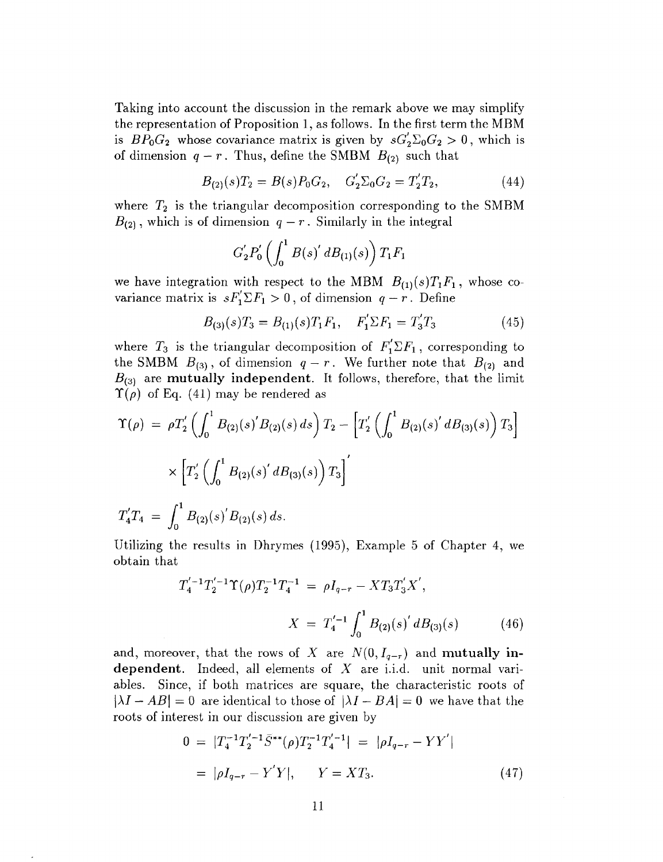Taking into account the discussion in the remark above we may simplify the representation of Proposition 1, as follows. In the first term the MBM is  $BP_0G_2$  whose covariance matrix is given by  $sG'_2\Sigma_0G_2 > 0$ , which is of dimension  $q - r$ . Thus, define the SMBM  $B_{(2)}$  such that

$$
B_{(2)}(s)T_2 = B(s)P_0G_2, \quad G'_2\Sigma_0G_2 = T'_2T_2,\tag{44}
$$

where *T2* is the triangular decomposition corresponding to the SMBM  $B_{(2)}$ , which is of dimension  $q-r$ . Similarly in the integral

$$
G_2'P_0'\left(\int_0^1B(s)'\;dB_{(1)}(s)\right)T_1F_1
$$

we have integration with respect to the MBM  $B_{(1)}(s)T_1F_1$ , whose covariance matrix is  $sF^{'}_1\Sigma F_1 > 0$ , of dimension  $q - r$ . Define

$$
B_{(3)}(s)T_3 = B_{(1)}(s)T_1F_1, \quad F'_1 \Sigma F_1 = T'_3T_3 \tag{45}
$$

where  $T_3$  is the triangular decomposition of  $F_1' \Sigma F_1$ , corresponding to the SMBM  $B_{(3)}$ , of dimension  $q - r$ . We further note that  $B_{(2)}$  and  $B_{(3)}$  are **mutually independent**. It follows, therefore, that the limit *T(p)* of Eq. (41) may be rendered as

$$
\Upsilon(\rho) = \rho T_2' \left( \int_0^1 B_{(2)}(s)' B_{(2)}(s) ds \right) T_2 - \left[ T_2' \left( \int_0^1 B_{(2)}(s)' d B_{(3)}(s) \right) T_3 \right]
$$

$$
\times \left[ T_2' \left( \int_0^1 B_{(2)}(s)' d B_{(3)}(s) \right) T_3 \right]'
$$

 $T'_4T_4 = \int_0^{\pi} B_{(2)}(s)'B_{(2)}(s) ds.$ 

Utilizing the results in Dhrymes (1995), Example 5 of Chapter 4, we obtain that

$$
T_4^{'-1}T_2^{'-1}\Upsilon(\rho)T_2^{-1}T_4^{-1} = \rho I_{q-r} - XT_3T_3'X',
$$

$$
X = T_4^{'-1} \int_0^1 B_{(2)}(s)' dB_{(3)}(s) \tag{46}
$$

and, moreover, that the rows of X are  $N(0, I_{q-r})$  and **mutually independent.** Indeed, all elements of *X* are i.i.d. unit normal variables. Since, if both matrices are square, the characteristic roots of  $|\lambda I - AB| = 0$  are identical to those of  $|\lambda I - BA| = 0$  we have that the roots of interest in our discussion are given by

$$
0 = |T_4^{-1}T_2'^{-1}\bar{S}^{**}(\rho)T_2^{-1}T_4'^{-1}| = |\rho I_{q-r} - YY'|
$$
  
=  $|\rho I_{q-r} - Y'Y|$ ,  $Y = XT_3$ . (47)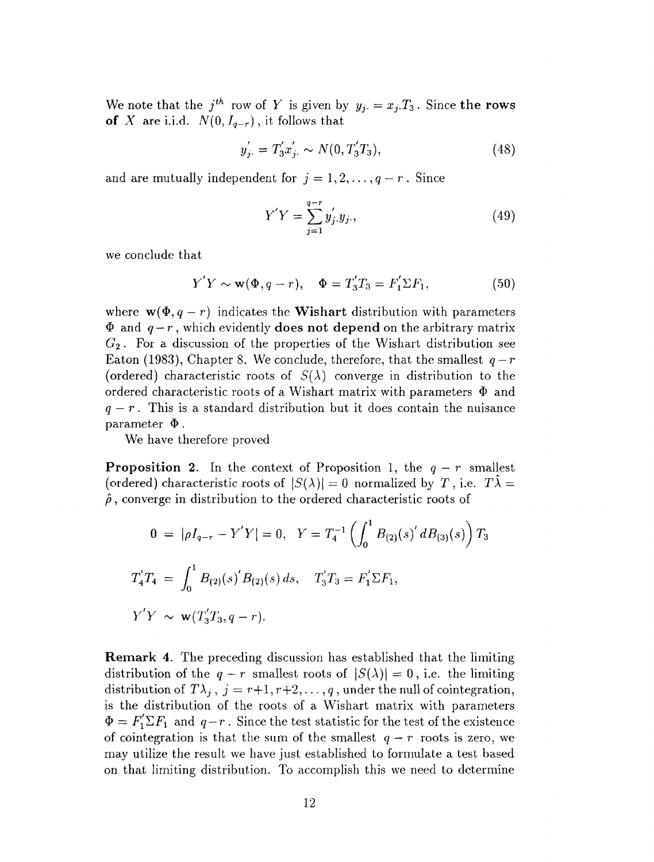We note that the  $j^{th}$  row of Y is given by  $y_j = x_j.T_3$ . Since the rows **of** *X* are i.i.d.  $N(0, I_{q-r})$ , it follows that

$$
y'_{j.} = T'_{3}x'_{j.} \sim N(0, T'_{3}T_{3}),
$$
\n(48)

and are mutually independent for  $j = 1, 2, \ldots, q - r$ . Since

$$
Y'Y = \sum_{j=1}^{q-r} y'_j y_j,
$$
\n(49)

we conclude that

$$
Y'Y \sim \mathbf{w}(\Phi, q - r), \quad \Phi = T'_3T_3 = F'_1 \Sigma F_1,\tag{50}
$$

where  $w(\Phi, q - r)$  indicates the **Wishart** distribution with parameters  $\Phi$  and  $q-r$ , which evidently **does not depend** on the arbitrary matrix *G2* • For a discussion of the properties of the Wishart distribution see Eaton (1983), Chapter 8. We conclude, therefore, that the smallest  $q-r$ (ordered) characteristic roots of  $S(\lambda)$  converge in distribution to the ordered characteristic roots of a Wishart matrix with parameters  $\Phi$  and  $q - r$ . This is a standard distribution but it does contain the nuisance parameter  $\Phi$ .

We have therefore proved

**Proposition 2.** In the context of Proposition 1, the  $q - r$  smallest (ordered) characteristic roots of  $|S(\lambda)| = 0$  normalized by T, i.e.  $T\lambda =$  $\hat{\rho}$ , converge in distribution to the ordered characteristic roots of

$$
0 = |\rho I_{q-r} - Y'Y| = 0, \quad Y = T_4^{-1} \left( \int_0^1 B_{(2)}(s)' d B_{(3)}(s) \right) T_3
$$
  

$$
T_4' T_4 = \int_0^1 B_{(2)}(s)' B_{(2)}(s) ds, \quad T_3' T_3 = F_1' \Sigma F_1,
$$
  

$$
Y'Y \sim \mathbf{w}(T_3' T_3, q - r).
$$

**Remark 4.** The preceding discussion has established that the limiting distribution of the  $q - r$  smallest roots of  $|S(\lambda)| = 0$ , i.e. the limiting distribution of  $T\lambda_j$ ,  $j = r+1, r+2, \ldots, q$ , under the null of cointegration, is the distribution of the roots of a Wishart matrix with parameters  $\Phi = F'_1 \Sigma F_1$  and  $q-r$ . Since the test statistic for the test of the existence of cointegration is that the sum of the smallest  $q - r$  roots is zero, we may utilize the result we have just established to formulate a test based on that limiting distribution. To accomplish this we need to determine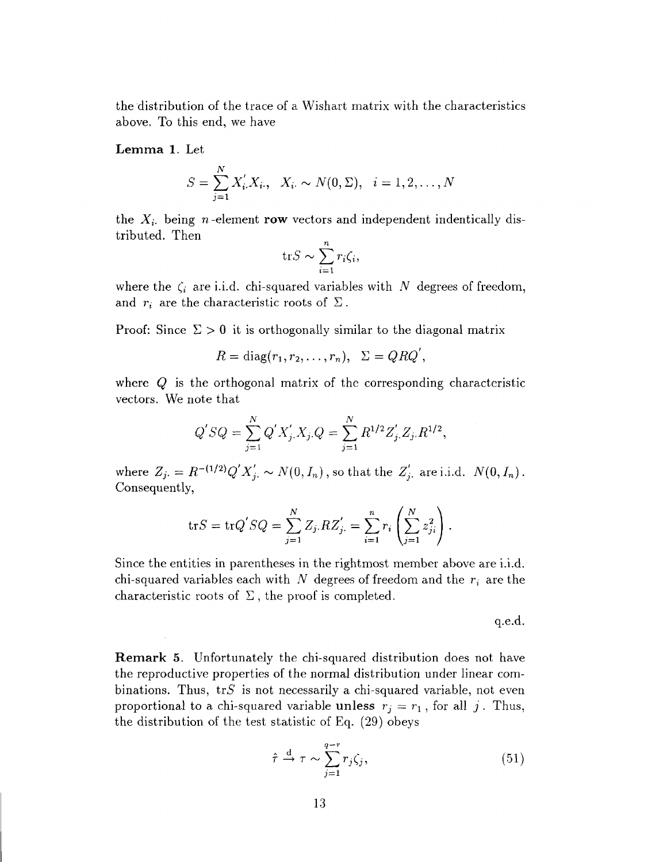the distribution of the trace of a Wishart matrix with the characteristics above. To this end, we have

Lemma 1. Let

$$
S = \sum_{j=1}^{N} X'_{i} X_{i}, \quad X_{i} \sim N(0, \Sigma), \quad i = 1, 2, \dots, N
$$

the  $X_i$  being *n*-element **row** vectors and independent indentically distributed. Then

$$
\operatorname{tr} S \sim \sum_{i=1}^{n} r_i \zeta_i,
$$

where the  $\zeta_i$  are i.i.d. chi-squared variables with  $N$  degrees of freedom, and  $r_i$  are the characteristic roots of  $\Sigma$ .

Proof: Since  $\Sigma > 0$  it is orthogonally similar to the diagonal matrix

$$
R = \text{diag}(r_1, r_2, \dots, r_n), \ \ \Sigma = QRQ',
$$

where *Q* is the orthogonal matrix of the corresponding characteristic vectors. We note that

$$
Q'SQ = \sum_{j=1}^{N} Q' X'_{j.} X_{j.} Q = \sum_{j=1}^{N} R^{1/2} Z'_{j.} Z_{j.} R^{1/2},
$$

where  $Z_j = R^{-(1/2)}Q'X'_j \sim N(0, I_n)$ , so that the  $Z'_j$ , are i.i.d.  $N(0, I_n)$ . Consequently,

$$
\mathrm{tr} S = \mathrm{tr} Q' S Q = \sum_{j=1}^{N} Z_j R Z'_j = \sum_{i=1}^{n} r_i \left( \sum_{j=1}^{N} z_{ji}^2 \right).
$$

Since the entities in parentheses in the rightmost member above are i.i.d. chi-squared variables each with *N* degrees of freedom and the r; are the characteristic roots of  $\Sigma$ , the proof is completed.

q.e.d.

**Remark 5.** Unfortunately the chi-squared distribution does not have the reproductive properties of the normal distribution under linear combinations. Thus,  $trS$  is not necessarily a chi-squared variable, not even proportional to a chi-squared variable unless  $r_j = r_1$ , for all j. Thus, the distribution of the test statistic of Eq. (29) obeys

$$
\hat{\tau} \stackrel{\text{d}}{\rightarrow} \tau \sim \sum_{j=1}^{q-r} r_j \zeta_j,\tag{51}
$$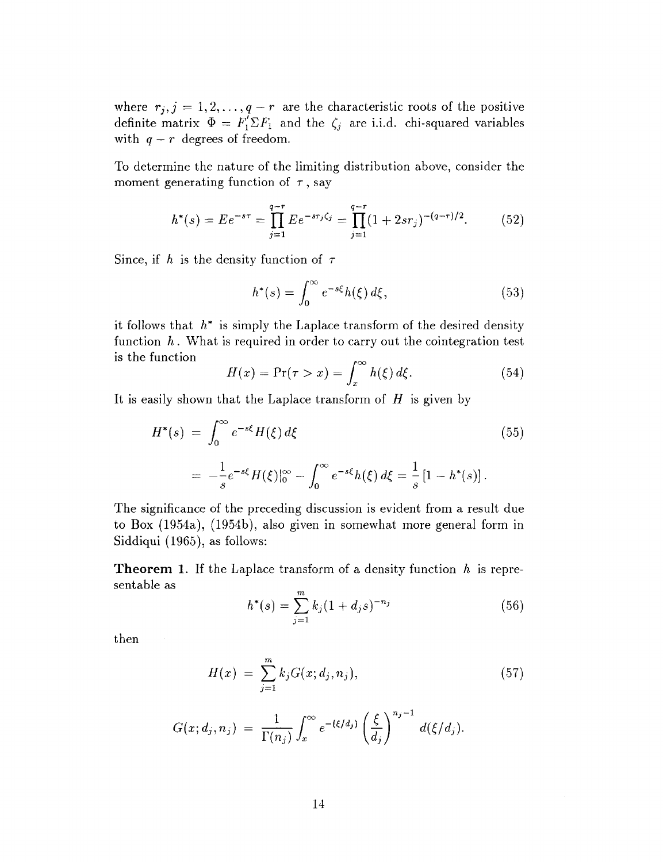where  $r_j$ ,  $j = 1, 2, ..., q - r$  are the characteristic roots of the positive definite matrix  $\Phi = F'_1 \Sigma F_1$  and the  $\zeta_j$  are i.i.d. chi-squared variables with  $q - r$  degrees of freedom.

To determine the nature of the limiting distribution above, consider the moment generating function of  $\tau$ , say

$$
h^*(s) = E e^{-s\tau} = \prod_{j=1}^{q-r} E e^{-s\tau_j \zeta_j} = \prod_{j=1}^{q-r} (1 + 2s\tau_j)^{-(q-r)/2}.
$$
 (52)

Since, if h is the density function of  $\tau$ 

$$
h^*(s) = \int_0^\infty e^{-s\xi} h(\xi) d\xi,
$$
\n(53)

it follows that  $h^*$  is simply the Laplace transform of the desired density function h. What is required in order to carry out the cointegration test is the function ^

$$
H(x) = \Pr(\tau > x) = \int_x^\infty h(\xi) \, d\xi. \tag{54}
$$

It is easily shown that the Laplace transform of *H* is given by

$$
H^*(s) = \int_0^\infty e^{-s\xi} H(\xi) d\xi
$$
\n
$$
= -\frac{1}{s} e^{-s\xi} H(\xi)|_0^\infty - \int_0^\infty e^{-s\xi} h(\xi) d\xi = \frac{1}{s} [1 - h^*(s)].
$$
\n(55)

The significance of the preceding discussion is evident from a result due to Box (1954a), (1954b), also given in somewhat more general form in Siddiqui (1965), as follows:

**Theorem 1.** If the Laplace transform of a density function *h* is representable as

$$
h^*(s) = \sum_{j=1}^m k_j (1 + d_j s)^{-n_j} \tag{56}
$$

then

$$
H(x) = \sum_{j=1}^{m} k_j G(x; d_j, n_j), \qquad (57)
$$

$$
G(x; d_j, n_j) = \frac{1}{\Gamma(n_j)} \int_x^{\infty} e^{-(\xi/d_j)} \left(\frac{\xi}{d_j}\right)^{n_j-1} d(\xi/d_j).
$$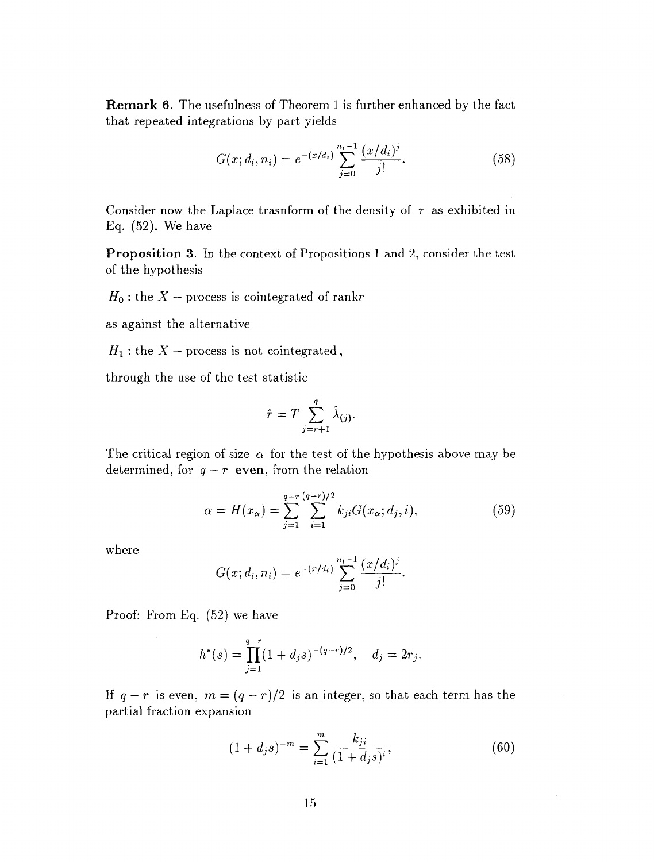**Remark 6.** The usefulness of Theorem 1 is further enhanced by the fact that repeated integrations by part yields

$$
G(x; d_i, n_i) = e^{-(x/d_i)} \sum_{j=0}^{n_i-1} \frac{(x/d_i)^j}{j!}.
$$
 (58)

Consider now the Laplace trasnform of the density of  $\tau$  as exhibited in Eq.  $(52)$ . We have

**Proposition 3.** In the context of Propositions 1 and 2, consider the test of the hypothesis

 $H_0$ : the  $X$  – process is cointegrated of rankr

as against the alternative

 $H_1$ : the  $X$  – process is not cointegrated,

through the use of the test statistic

$$
\hat{\tau} = T \sum_{j=r+1}^{q} \hat{\lambda}_{(j)}.
$$

The critical region of size  $\alpha$  for the test of the hypothesis above may be determined, for  $q - r$  even, from the relation

$$
\alpha = H(x_{\alpha}) = \sum_{j=1}^{q-r} \sum_{i=1}^{(q-r)/2} k_{ji} G(x_{\alpha}; d_j, i), \qquad (59)
$$

where

$$
G(x; d_i, n_i) = e^{-(x/d_i)} \sum_{j=0}^{n_i-1} \frac{(x/d_i)^j}{j!}.
$$

Proof: From Eq. (52) we have

$$
h^*(s) = \prod_{j=1}^{q-r} (1 + d_j s)^{-(q-r)/2}, \quad d_j = 2r_j.
$$

If  $q - r$  is even,  $m = (q - r)/2$  is an integer, so that each term has the partial fraction expansion

$$
(1 + d_j s)^{-m} = \sum_{i=1}^{m} \frac{k_{ji}}{(1 + d_j s)^i},
$$
\n(60)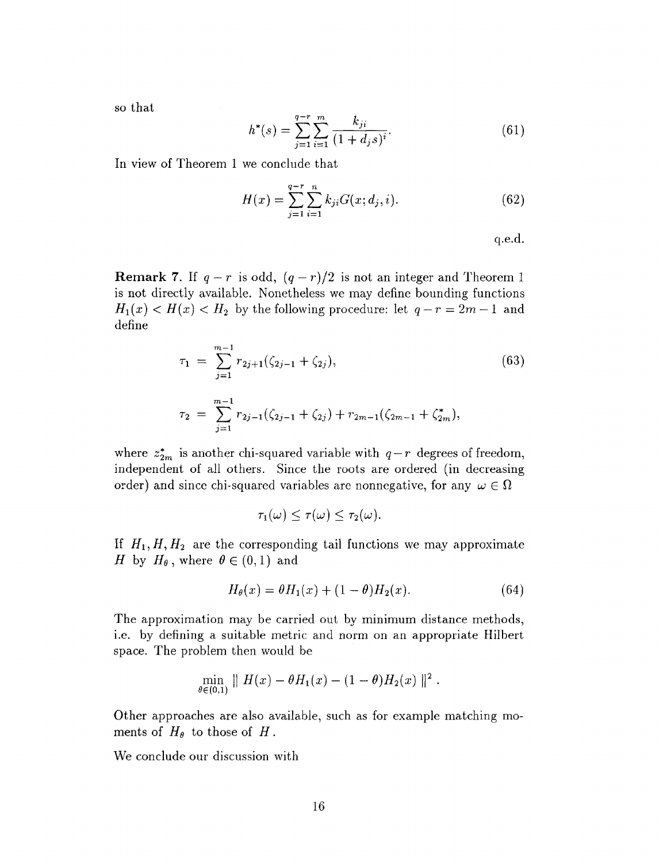so that

$$
h^*(s) = \sum_{j=1}^{q-r} \sum_{i=1}^{m} \frac{k_{ji}}{(1+d_j s)^i}.
$$
 (61)

In view of Theorem 1 we conclude that

$$
H(x) = \sum_{j=1}^{q-r} \sum_{i=1}^{n} k_{ji} G(x; d_j, i).
$$
 (62)

q.e.d.

**Remark 7.** If  $q - r$  is odd,  $(q - r)/2$  is not an integer and Theorem 1 is not directly available. Nonetheless we may define bounding functions  $H_1(x) < H(x) < H_2$  by the following procedure: let  $q-r = 2m-1$  and define

$$
\tau_1 = \sum_{j=1}^{m-1} r_{2j+1}(\zeta_{2j-1} + \zeta_{2j}), \tag{63}
$$

$$
\tau_2 = \sum_{j=1}^{m-1} r_{2j-1}(\zeta_{2j-1} + \zeta_{2j}) + r_{2m-1}(\zeta_{2m-1} + \zeta_{2m}^*),
$$

where  $z_{2m}^*$  is another chi-squared variable with  $q - r$  degrees of freedom, independent of all others. Since the roots are ordered (in decreasing order) and since chi-squared variables are nonnegative, for any  $\omega \in \Omega$ 

$$
\tau_1(\omega) \leq \tau(\omega) \leq \tau_2(\omega).
$$

If  $H_1, H, H_2$  are the corresponding tail functions we may approximate *H* by  $H_{\theta}$ , where  $\theta \in (0,1)$  and

$$
H_{\theta}(x) = \theta H_1(x) + (1 - \theta)H_2(x). \tag{64}
$$

The approximation may be carried out by minimum distance methods, i.e. by defining a suitable metric and norm on an appropriate Hilbert space. The problem then would be

$$
\min_{\theta \in (0,1)} \| H(x) - \theta H_1(x) - (1 - \theta) H_2(x) \|^2.
$$

Other approaches are also available, such as for example matching moments of  $H_{\theta}$  to those of  $H$ .

We conclude our discussion with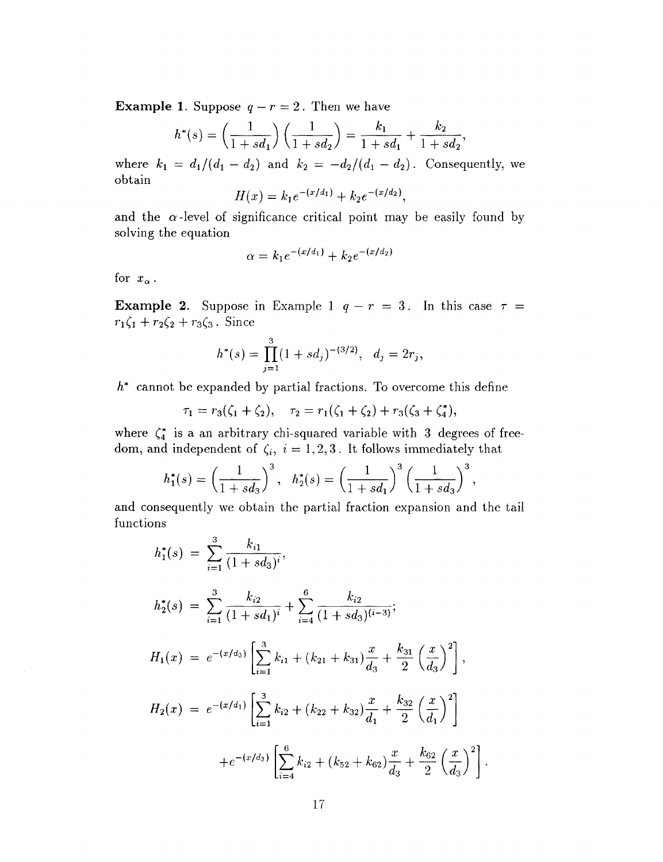**Example 1.** Suppose  $q - r = 2$ . Then we have

$$
h^*(s) = \left(\frac{1}{1+sd_1}\right)\left(\frac{1}{1+sd_2}\right) = \frac{k_1}{1+sd_1} + \frac{k_2}{1+sd_2},
$$

where  $k_1 = d_1/(d_1 - d_2)$  and  $k_2 = -d_2/(d_1 - d_2)$ . Consequently, we obtain

$$
H(x) = k_1 e^{-(x/d_1)} + k_2 e^{-(x/d_2)},
$$

and the  $\alpha$ -level of significance critical point may be easily found by solving the equation

$$
\alpha = k_1 e^{-(x/d_1)} + k_2 e^{-(x/d_2)}
$$

for  $x_{\alpha}$ .

**Example 2.** Suppose in Example 1  $q - r = 3$ . In this case  $\tau =$  $r_1\zeta_1 + r_2\zeta_2 + r_3\zeta_3$ . Since

$$
h^*(s) = \prod_{j=1}^3 (1 + s d_j)^{-(3/2)}, \quad d_j = 2r_j,
$$

*h\** cannot be expanded by partial fractions. To overcome this define

$$
\tau_1 = r_3(\zeta_1 + \zeta_2), \quad \tau_2 = r_1(\zeta_1 + \zeta_2) + r_3(\zeta_3 + \zeta_4^*),
$$

where  $\zeta_4^*$  is a an arbitrary chi-squared variable with 3 degrees of freedom, and independent of  $\zeta_i$ ,  $i = 1, 2, 3$ . It follows immediately that

$$
h_1^*(s) = \left(\frac{1}{1+sd_3}\right)^3, \quad h_2^*(s) = \left(\frac{1}{1+sd_1}\right)^3 \left(\frac{1}{1+sd_3}\right)^3,
$$

and consequently we obtain the partial fraction expansion and the tail functions

$$
h_1^*(s) = \sum_{i=1}^3 \frac{k_{i1}}{(1+sd_3)^i},
$$
  
\n
$$
h_2^*(s) = \sum_{i=1}^3 \frac{k_{i2}}{(1+sd_1)^i} + \sum_{i=4}^6 \frac{k_{i2}}{(1+sd_3)^{(i-3)}};
$$
  
\n
$$
H_1(x) = e^{-(x/d_3)} \left[ \sum_{i=1}^3 k_{i1} + (k_{21} + k_{31}) \frac{x}{d_3} + \frac{k_{31}}{2} \left( \frac{x}{d_3} \right)^2 \right],
$$
  
\n
$$
H_2(x) = e^{-(x/d_1)} \left[ \sum_{i=1}^3 k_{i2} + (k_{22} + k_{32}) \frac{x}{d_1} + \frac{k_{32}}{2} \left( \frac{x}{d_1} \right)^2 \right]
$$
  
\n
$$
+ e^{-(x/d_3)} \left[ \sum_{i=4}^6 k_{i2} + (k_{52} + k_{62}) \frac{x}{d_3} + \frac{k_{62}}{2} \left( \frac{x}{d_3} \right)^2 \right].
$$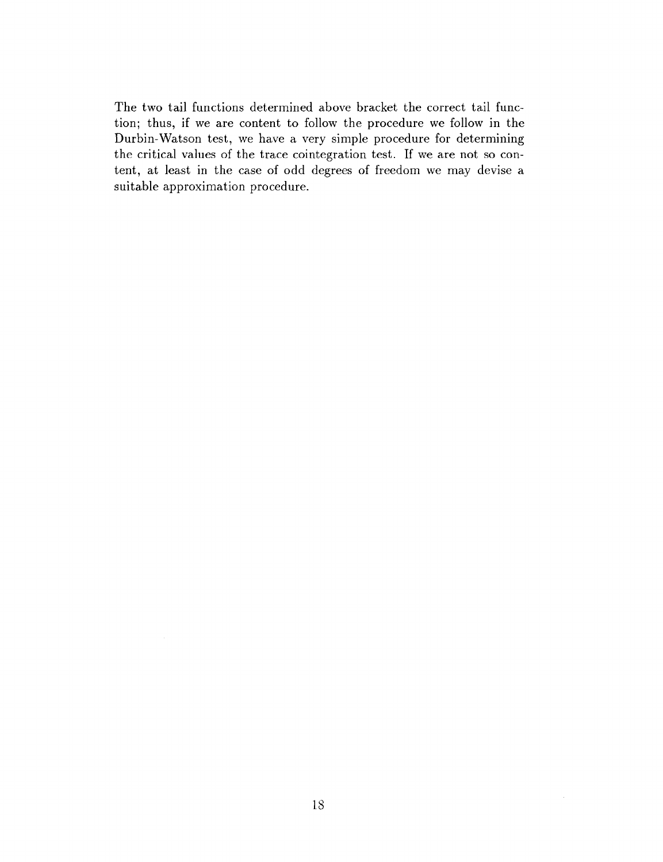The two tail functions determined above bracket the correct tail function; thus, if we are content to follow the procedure we follow in the Durbin-Watson test, we have a very simple procedure for determining the critical values of the trace cointegration test. If we are not so content, at least in the case of odd degrees of freedom we may devise a suitable approximation procedure.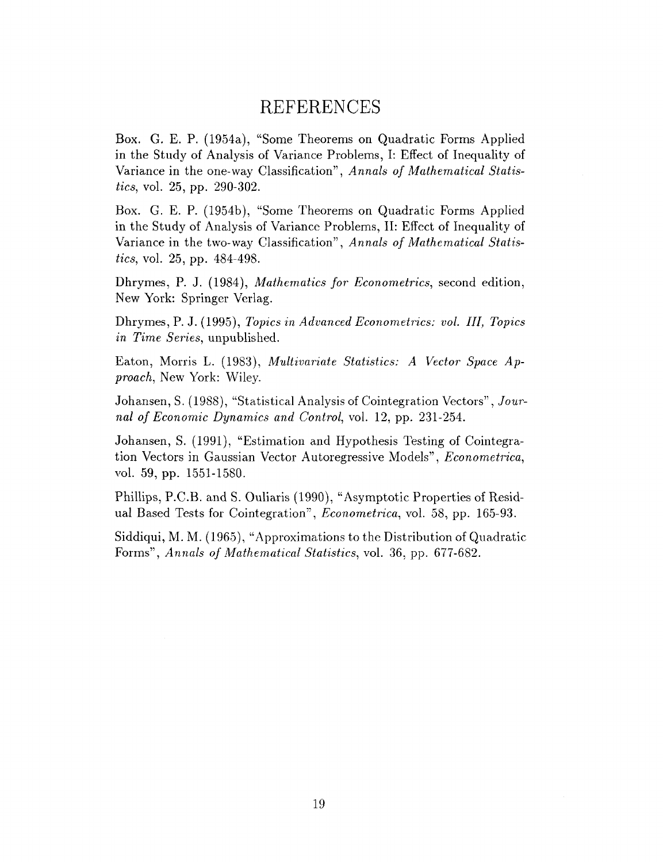### REFERENCES

Box. G. E. P. (1954a), "Some Theorems on Quadratic Forms Applied in the Study of Analysis of Variance Problems, I: Effect of Inequality of Variance in the one-way Classification", *Annals of Mathematical Statistics,* vol. 25, pp. 290-302.

Box. G. E. P. (1954b), "Some Theorems on Quadratic Forms Applied in the Study of Analysis of Variance Problems, II: Effect of Inequality of Variance in the two-way Classification", *Annals of Mathematical Statistics,* vol. 25, pp. 484-498.

Dhrymes, P. J. (1984), *Mathematics for Econometrics,* second edition, New York: Springer Verlag.

Dhrymes, P. J. (1995), *Topics in Advanced Econometrics: vol. Ill, Topics in Time Series,* unpublished.

Eaton, Morris L. (1983), *Multivariate Statistics: A Vector Space Approach,* New York: Wiley.

Johansen, S. (1988), "Statistical Analysis of Cointegration Vectors", *Journal of Economic Dynamics and Control,* vol. 12, pp. 231-254.

Johansen, S. (1991), "Estimation and Hypothesis Testing of Cointegration Vectors in Gaussian Vector Autoregressive Models", *Econometrica,* vol. 59, pp. 1551-1580.

Phillips, P.C.B. and S. Ouliaris (1990), "Asymptotic Properties of Residual Based Tests for Cointegration", *Econometrica,* vol. 58, pp. 165-93.

Siddiqui, M. M. (1965), "Approximations to the Distribution of Quadratic Forms", *Annals of Mathematical Statistics,* vol. 36, pp. 677-682.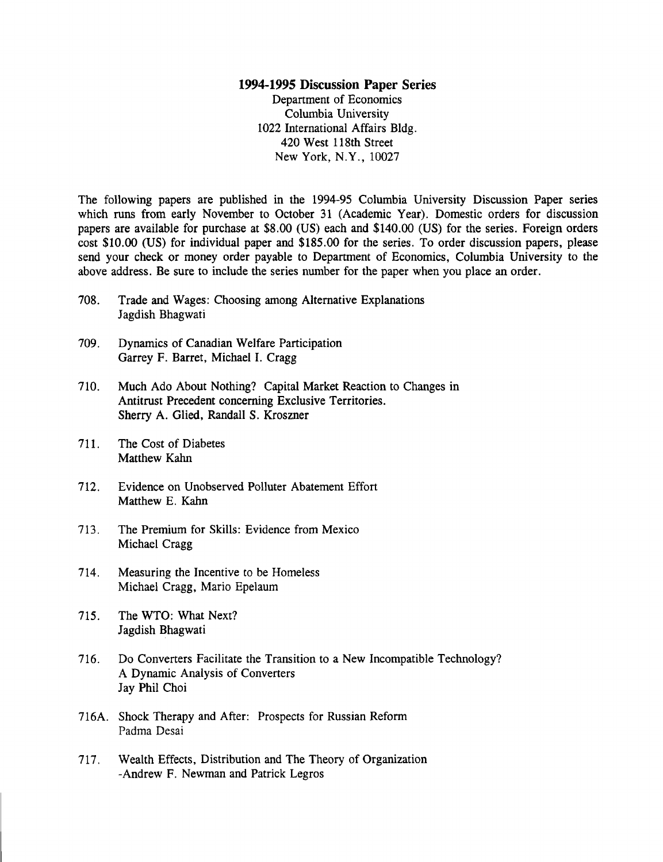#### **1994-1995 Discussion Paper Series**

Department of Economics Columbia University 1022 International Affairs Bldg. 420 West 118th Street New York, N.Y., 10027

The following papers are published in the 1994-95 Columbia University Discussion Paper series which runs from early November to October 31 (Academic Year). Domestic orders for discussion papers are available for purchase at \$8.00 (US) each and \$140.00 (US) for the series. Foreign orders cost \$10.00 (US) for individual paper and \$185.00 for the series. To order discussion papers, please send your check or money order payable to Department of Economics, Columbia University to the above address. Be sure to include the series number for the paper when you place an order.

- 708. Trade and Wages: Choosing among Alternative Explanations Jagdish Bhagwati
- 709. Dynamics of Canadian Welfare Participation Garrey F. Barret, Michael I. Cragg
- 710. Much Ado About Nothing? Capital Market Reaction to Changes in Antitrust Precedent concerning Exclusive Territories. Sherry A. Glied, Randall S. Kroszner
- 711. The Cost of Diabetes Matthew Kahn
- 712. Evidence on Unobserved Polluter Abatement Effort Matthew E. Kahn
- 713. The Premium for Skills: Evidence from Mexico Michael Cragg
- 714. Measuring the Incentive to be Homeless Michael Cragg, Mario Epelaum
- 715. The WTO: What Next? Jagdish Bhagwati
- 716. Do Converters Facilitate the Transition to a New Incompatible Technology? A Dynamic Analysis of Converters Jay Phil Choi
- 716A. Shock Therapy and After: Prospects for Russian Reform Padma Desai
- 717. Wealth Effects, Distribution and The Theory of Organization -Andrew F. Newman and Patrick Legros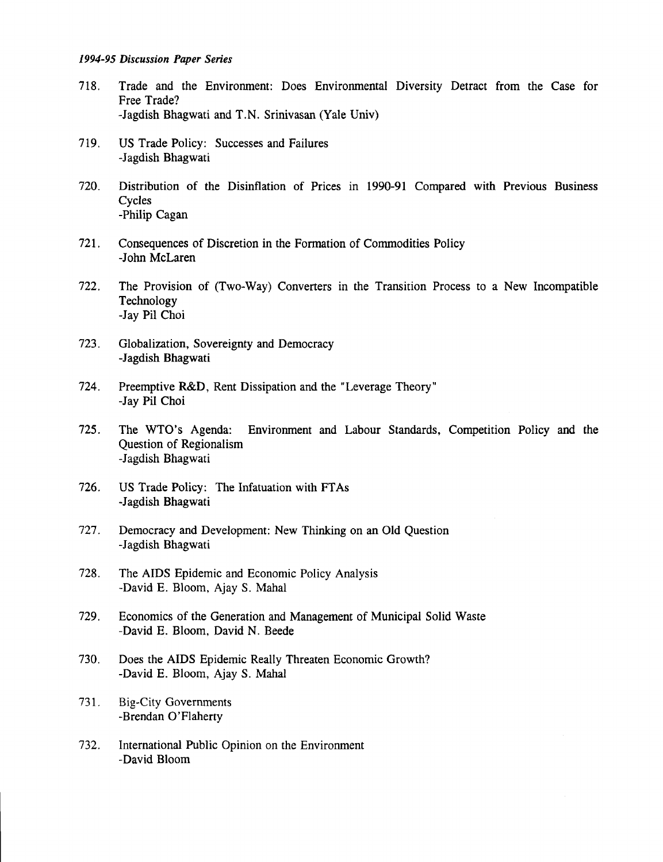#### *1994-95 Discussion Paper Series*

- 718. Trade and the Environment: Does Environmental Diversity Detract from the Case for Free Trade? -Jagdish Bhagwati and T.N. Srinivasan (Yale Univ)
- 719. US Trade Policy: Successes and Failures -Jagdish Bhagwati
- 720. Distribution of the Disinflation of Prices in 1990-91 Compared with Previous Business **Cycles** -Philip Cagan
- 721. Consequences of Discretion in the Formation of Commodities Policy -John McLaren
- 722. The Provision of (Two-Way) Converters in the Transition Process to a New Incompatible Technology -Jay Pil Choi
- 723. Globalization, Sovereignty and Democracy -Jagdish Bhagwati
- 724. Preemptive R&D, Rent Dissipation and the "Leverage Theory" -Jay Pil Choi
- 725. The WTO's Agenda: Environment and Labour Standards, Competition Policy and the Question of Regionalism -Jagdish Bhagwati
- 726. US Trade Policy: The Infatuation with FT As -Jagdish Bhagwati
- 727. Democracy and Development: New Thinking on an Old Question -Jagdish Bhagwati
- 728. The AIDS Epidemic and Economic Policy Analysis -David E. Bloom, Ajay S. Mahal
- 729. Economics of the Generation and Management of Municipal Solid Waste -David E. Bloom, David N. Beede
- 730. Does the AIDS Epidemic Really Threaten Economic Growth? -David E. Bloom, Ajay S. Mahal
- 731. Big-City Governments -Brendan O'Flaherty
- 732. International Public Opinion on the Environment -David Bloom